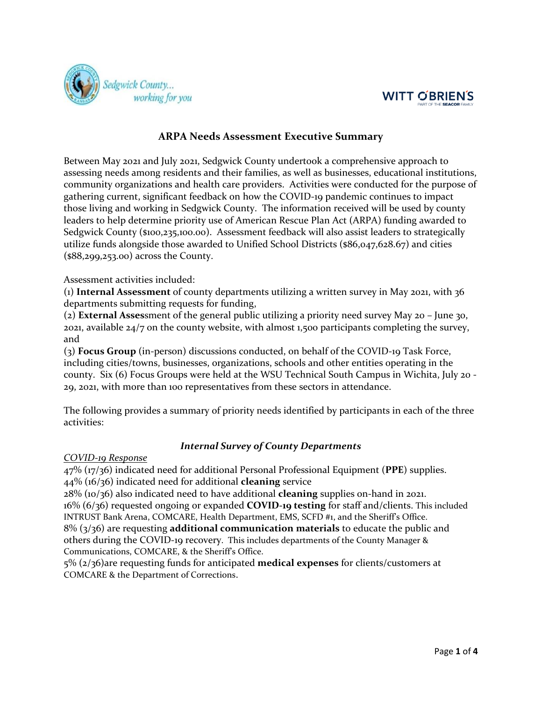



# **ARPA Needs Assessment Executive Summary**

Between May 2021 and July 2021, Sedgwick County undertook a comprehensive approach to assessing needs among residents and their families, as well as businesses, educational institutions, community organizations and health care providers. Activities were conducted for the purpose of gathering current, significant feedback on how the COVID-19 pandemic continues to impact those living and working in Sedgwick County. The information received will be used by county leaders to help determine priority use of American Rescue Plan Act (ARPA) funding awarded to Sedgwick County (\$100,235,100.00). Assessment feedback will also assist leaders to strategically utilize funds alongside those awarded to Unified School Districts (\$86,047,628.67) and cities (\$88,299,253.00) across the County.

### Assessment activities included:

(1) **Internal Assessment** of county departments utilizing a written survey in May 2021, with 36 departments submitting requests for funding,

(2) **External Asses**sment of the general public utilizing a priority need survey May 20 – June 30, 2021, available 24/7 on the county website, with almost 1,500 participants completing the survey, and

(3) **Focus Group** (in-person) discussions conducted, on behalf of the COVID-19 Task Force, including cities/towns, businesses, organizations, schools and other entities operating in the county. Six (6) Focus Groups were held at the WSU Technical South Campus in Wichita, July 20 - 29, 2021, with more than 100 representatives from these sectors in attendance.

The following provides a summary of priority needs identified by participants in each of the three activities:

# *Internal Survey of County Departments*

*COVID-19 Response*

47% (17/36) indicated need for additional Personal Professional Equipment (**PPE**) supplies. 44% (16/36) indicated need for additional **cleaning** service

28% (10/36) also indicated need to have additional **cleaning** supplies on-hand in 2021. 16% (6/36) requested ongoing or expanded **COVID-19 testing** for staff and/clients. This included INTRUST Bank Arena, COMCARE, Health Department, EMS, SCFD #1, and the Sheriff's Office. 8% (3/36) are requesting **additional communication materials** to educate the public and

others during the COVID-19 recovery. This includes departments of the County Manager & Communications, COMCARE, & the Sheriff's Office.

5% (2/36)are requesting funds for anticipated **medical expenses** for clients/customers at COMCARE & the Department of Corrections.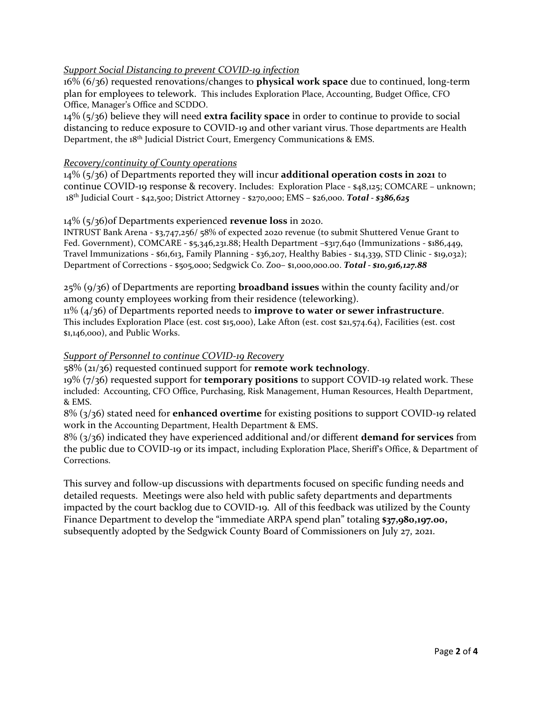### *Support Social Distancing to prevent COVID-19 infection*

16% (6/36) requested renovations/changes to **physical work space** due to continued, long-term plan for employees to telework. This includes Exploration Place, Accounting, Budget Office, CFO Office, Manager's Office and SCDDO.

14% (5/36) believe they will need **extra facility space** in order to continue to provide to social distancing to reduce exposure to COVID-19 and other variant virus. Those departments are Health Department, the 18<sup>th</sup> Judicial District Court, Emergency Communications & EMS.

#### *Recovery/continuity of County operations*

14% (5/36) of Departments reported they will incur **additional operation costs in 2021** to continue COVID-19 response & recovery. Includes: Exploration Place - \$48,125; COMCARE – unknown; 18th Judicial Court - \$42,500; District Attorney - \$270,000; EMS – \$26,000. *Total - \$386,625*

#### 14% (5/36)of Departments experienced **revenue loss** in 2020.

INTRUST Bank Arena - \$3,747,256/ 58% of expected 2020 revenue (to submit Shuttered Venue Grant to Fed. Government), COMCARE - \$5,346,231.88; Health Department –\$317,640 (Immunizations - \$186,449, Travel Immunizations - \$61,613, Family Planning - \$36,207, Healthy Babies - \$14,339, STD Clinic - \$19,032); Department of Corrections - \$505,000; Sedgwick Co. Zoo– \$1,000,000.00. *Total - \$10,916,127.88*

25% (9/36) of Departments are reporting **broadband issues** within the county facility and/or among county employees working from their residence (teleworking).

11% (4/36) of Departments reported needs to **improve to water or sewer infrastructure**. This includes Exploration Place (est. cost \$15,000), Lake Afton (est. cost \$21,574.64), Facilities (est. cost \$1,146,000), and Public Works.

#### *Support of Personnel to continue COVID-19 Recovery*

58% (21/36) requested continued support for **remote work technology**.

19% (7/36) requested support for **temporary positions** to support COVID-19 related work. These included: Accounting, CFO Office, Purchasing, Risk Management, Human Resources, Health Department, & EMS.

8% (3/36) stated need for **enhanced overtime** for existing positions to support COVID-19 related work in the Accounting Department, Health Department & EMS.

8% (3/36) indicated they have experienced additional and/or different **demand for services** from the public due to COVID-19 or its impact, including Exploration Place, Sheriff's Office, & Department of Corrections.

This survey and follow-up discussions with departments focused on specific funding needs and detailed requests. Meetings were also held with public safety departments and departments impacted by the court backlog due to COVID-19. All of this feedback was utilized by the County Finance Department to develop the "immediate ARPA spend plan" totaling \$37,980,197.00, subsequently adopted by the Sedgwick County Board of Commissioners on July 27, 2021.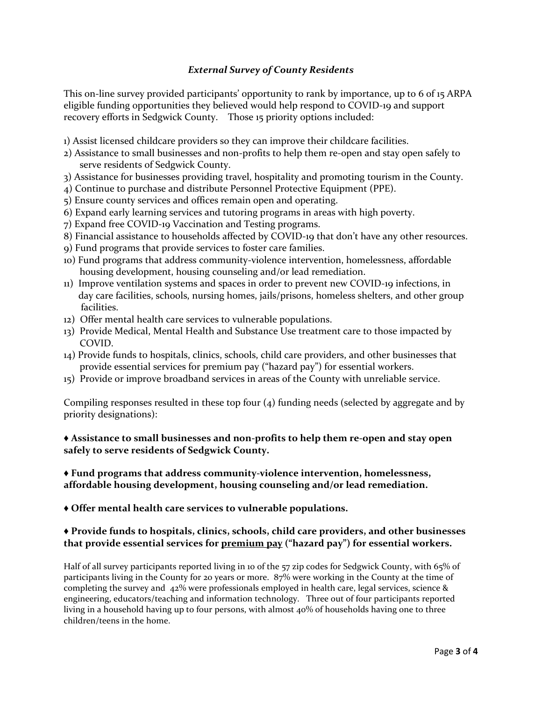# *External Survey of County Residents*

This on-line survey provided participants' opportunity to rank by importance, up to 6 of 15 ARPA eligible funding opportunities they believed would help respond to COVID-19 and support recovery efforts in Sedgwick County. Those 15 priority options included:

- 1) Assist licensed childcare providers so they can improve their childcare facilities.
- 2) Assistance to small businesses and non-profits to help them re-open and stay open safely to serve residents of Sedgwick County.
- 3) Assistance for businesses providing travel, hospitality and promoting tourism in the County.
- 4) Continue to purchase and distribute Personnel Protective Equipment (PPE).
- 5) Ensure county services and offices remain open and operating.
- 6) Expand early learning services and tutoring programs in areas with high poverty.
- 7) Expand free COVID-19 Vaccination and Testing programs.
- 8) Financial assistance to households affected by COVID-19 that don't have any other resources.
- 9) Fund programs that provide services to foster care families.
- 10) Fund programs that address community-violence intervention, homelessness, affordable housing development, housing counseling and/or lead remediation.
- 11) Improve ventilation systems and spaces in order to prevent new COVID-19 infections, in day care facilities, schools, nursing homes, jails/prisons, homeless shelters, and other group facilities.
- 12) Offer mental health care services to vulnerable populations.
- 13) Provide Medical, Mental Health and Substance Use treatment care to those impacted by COVID.
- 14) Provide funds to hospitals, clinics, schools, child care providers, and other businesses that provide essential services for premium pay ("hazard pay") for essential workers.
- 15) Provide or improve broadband services in areas of the County with unreliable service.

Compiling responses resulted in these top four (4) funding needs (selected by aggregate and by priority designations):

## ♦ **Assistance to small businesses and non-profits to help them re-open and stay open safely to serve residents of Sedgwick County.**

### **♦ Fund programs that address community-violence intervention, homelessness, affordable housing development, housing counseling and/or lead remediation.**

**♦ Offer mental health care services to vulnerable populations.**

# **♦ Provide funds to hospitals, clinics, schools, child care providers, and other businesses that provide essential services for premium pay ("hazard pay") for essential workers.**

Half of all survey participants reported living in 10 of the 57 zip codes for Sedgwick County, with 65% of participants living in the County for 20 years or more. 87% were working in the County at the time of completing the survey and 42% were professionals employed in health care, legal services, science & engineering, educators/teaching and information technology. Three out of four participants reported living in a household having up to four persons, with almost 40% of households having one to three children/teens in the home.